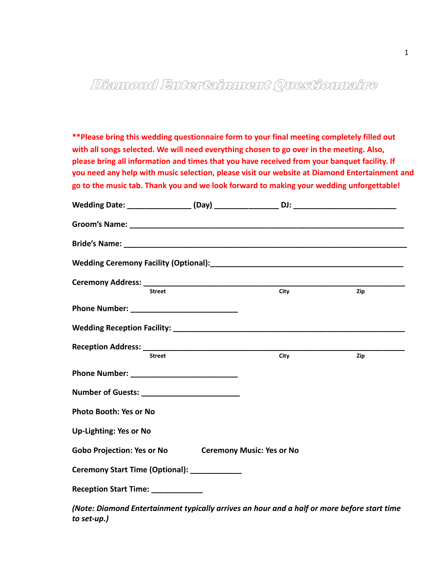# Diamond Entertainment Questionnaire

**go to the music tab. Thank you and we look forward to making your wedding unforgettable! \*\*Please bring this wedding questionnaire form to your final meeting completely filled out with all songs selected. We will need everything chosen to go over in the meeting. Also, please bring all information and times that you have received from your banquet facility. If you need any help with music selection, please visit our website at Diamond Entertainment and** 

| <b>Street</b>                                 | City                             | Zip |
|-----------------------------------------------|----------------------------------|-----|
|                                               |                                  |     |
|                                               |                                  |     |
|                                               |                                  |     |
| <b>Street</b>                                 | City                             | Zip |
|                                               |                                  |     |
| Number of Guests: ___________________________ |                                  |     |
| <b>Photo Booth: Yes or No</b>                 |                                  |     |
| <b>Up-Lighting: Yes or No</b>                 |                                  |     |
| <b>Gobo Projection: Yes or No</b>             | <b>Ceremony Music: Yes or No</b> |     |
| Ceremony Start Time (Optional): ____________  |                                  |     |
| Reception Start Time: ____________            |                                  |     |
|                                               |                                  |     |

*(Note: Diamond Entertainment typically arrives an hour and a half or more before start time to set-up.)*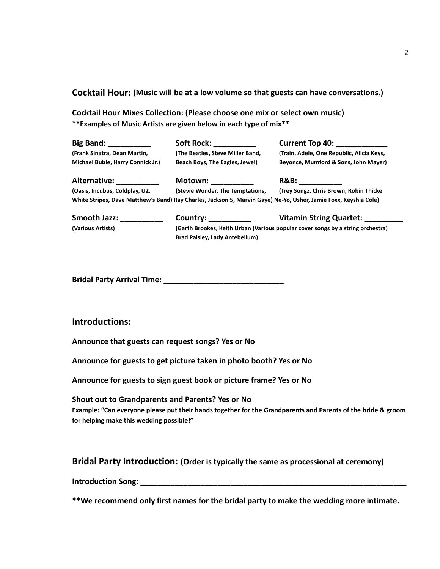**Cocktail Hour: (Music will be at a low volume so that guests can have conversations.)**

**Cocktail Hour Mixes Collection: (Please choose one mix or select own music) \*\*Examples of Music Artists are given below in each type of mix\*\***

| <b>Big Band:</b>                  | <b>Soft Rock:</b>                | <b>Current Top 40:</b>                                                                                           |
|-----------------------------------|----------------------------------|------------------------------------------------------------------------------------------------------------------|
| (Frank Sinatra, Dean Martin,      | (The Beatles, Steve Miller Band, | (Train, Adele, One Republic, Alicia Keys,                                                                        |
| Michael Buble, Harry Connick Jr.) | Beach Boys, The Eagles, Jewel)   | Beyoncé, Mumford & Sons, John Mayer)                                                                             |
| Alternative:                      | Motown:                          | <b>R&amp;B:</b>                                                                                                  |
| (Oasis, Incubus, Coldplay, U2,    | (Stevie Wonder, The Temptations, | (Trey Songz, Chris Brown, Robin Thicke                                                                           |
|                                   |                                  | White Stripes, Dave Matthew's Band) Ray Charles, Jackson 5, Marvin Gaye) Ne-Yo, Usher, Jamie Foxx, Keyshia Cole) |

| <b>Smooth Jazz:</b> | Country:                                                                        | <b>Vitamin String Quartet:</b> |  |
|---------------------|---------------------------------------------------------------------------------|--------------------------------|--|
| (Various Artists)   | (Garth Brookes, Keith Urban (Various popular cover songs by a string orchestra) |                                |  |
|                     | <b>Brad Paisley, Lady Antebellum)</b>                                           |                                |  |

**Bridal Party Arrival Time: \_\_\_\_\_\_\_\_\_\_\_\_\_\_\_\_\_\_\_\_\_\_\_\_\_\_\_\_** 

#### **Introductions:**

**Announce that guests can request songs? Yes or No** 

**Announce for guests to get picture taken in photo booth? Yes or No** 

**Announce for guests to sign guest book or picture frame? Yes or No** 

#### **Shout out to Grandparents and Parents? Yes or No**

**Example: "Can everyone please put their hands together for the Grandparents and Parents of the bride & groom for helping make this wedding possible!"** 

#### **Bridal Party Introduction: (Order is typically the same as processional at ceremony)**

**Introduction Song: \_\_\_\_\_\_\_\_\_\_\_\_\_\_\_\_\_\_\_\_\_\_\_\_\_\_\_\_\_\_\_\_\_\_\_\_\_\_\_\_\_\_\_\_\_\_\_\_\_\_\_\_\_\_\_\_\_\_\_\_\_\_** 

**\*\*We recommend only first names for the bridal party to make the wedding more intimate.**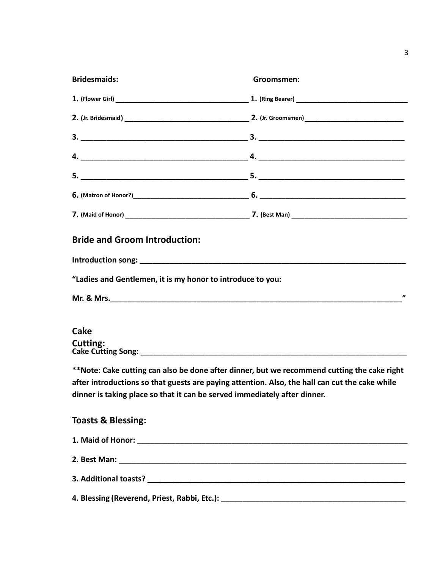| <b>Bridesmaids:</b>                                        | Groomsmen:                                                                                     |
|------------------------------------------------------------|------------------------------------------------------------------------------------------------|
|                                                            |                                                                                                |
|                                                            |                                                                                                |
|                                                            |                                                                                                |
|                                                            |                                                                                                |
|                                                            |                                                                                                |
|                                                            |                                                                                                |
|                                                            |                                                                                                |
| <b>Bride and Groom Introduction:</b>                       |                                                                                                |
|                                                            |                                                                                                |
| "Ladies and Gentlemen, it is my honor to introduce to you: |                                                                                                |
|                                                            | "                                                                                              |
|                                                            |                                                                                                |
| <b>Cake</b>                                                |                                                                                                |
| <b>Cutting:</b>                                            |                                                                                                |
|                                                            | **Note: Cake cutting can also be done after dinner, but we recommend cutting the cake right    |
|                                                            | after introductions so that guests are paying attention. Also, the hall can cut the cake while |
|                                                            | dinner is taking place so that it can be served immediately after dinner.                      |
| <b>Toasts &amp; Blessing:</b>                              |                                                                                                |
|                                                            |                                                                                                |
|                                                            |                                                                                                |
|                                                            |                                                                                                |
|                                                            |                                                                                                |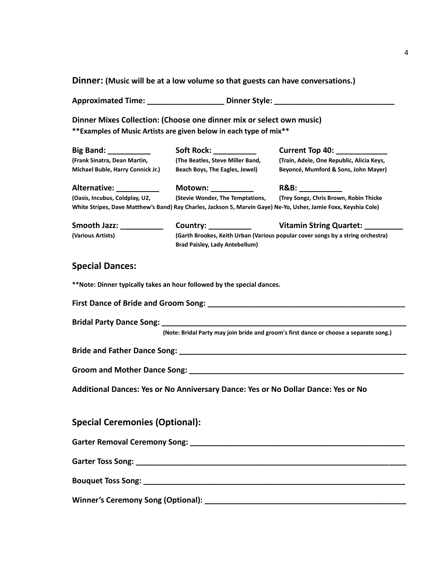**Dinner: (Music will be at a low volume so that guests can have conversations.)** 

| <b>Approximated Time:</b> | <b>Dinner Style:</b> |  |
|---------------------------|----------------------|--|
|                           |                      |  |

**Dinner Mixes Collection: (Choose one dinner mix or select own music) \*\*Examples of Music Artists are given below in each type of mix\*\*** 

| <b>Big Band:</b> __________           | Soft Rock: ___________                                                                                                   | Current Top 40: Current                                                                                                                                    |
|---------------------------------------|--------------------------------------------------------------------------------------------------------------------------|------------------------------------------------------------------------------------------------------------------------------------------------------------|
| (Frank Sinatra, Dean Martin,          | (The Beatles, Steve Miller Band,                                                                                         | (Train, Adele, One Republic, Alicia Keys,                                                                                                                  |
| Michael Buble, Harry Connick Jr.)     | Beach Boys, The Eagles, Jewel)                                                                                           | Beyoncé, Mumford & Sons, John Mayer)                                                                                                                       |
| Alternative: __________               | Motown: __________                                                                                                       | $R&B:\_$                                                                                                                                                   |
| (Oasis, Incubus, Coldplay, U2,        | (Stevie Wonder, The Temptations,                                                                                         | (Trey Songz, Chris Brown, Robin Thicke<br>White Stripes, Dave Matthew's Band) Ray Charles, Jackson 5, Marvin Gaye) Ne-Yo, Usher, Jamie Foxx, Keyshia Cole) |
| Smooth Jazz: _____________            | Country: ___________                                                                                                     | Vitamin String Quartet:                                                                                                                                    |
| (Various Artists)                     | (Garth Brookes, Keith Urban (Various popular cover songs by a string orchestra)<br><b>Brad Paisley, Lady Antebellum)</b> |                                                                                                                                                            |
| <b>Special Dances:</b>                |                                                                                                                          |                                                                                                                                                            |
|                                       | **Note: Dinner typically takes an hour followed by the special dances.                                                   |                                                                                                                                                            |
|                                       |                                                                                                                          |                                                                                                                                                            |
|                                       | Bridal Party Dance Song: Dance of the Song Series of the Song Series of the Song Series of the Song Series of            |                                                                                                                                                            |
|                                       |                                                                                                                          | (Note: Bridal Party may join bride and groom's first dance or choose a separate song.)                                                                     |
|                                       |                                                                                                                          |                                                                                                                                                            |
|                                       |                                                                                                                          |                                                                                                                                                            |
|                                       |                                                                                                                          |                                                                                                                                                            |
|                                       | Additional Dances: Yes or No Anniversary Dance: Yes or No Dollar Dance: Yes or No                                        |                                                                                                                                                            |
|                                       |                                                                                                                          |                                                                                                                                                            |
| <b>Special Ceremonies (Optional):</b> |                                                                                                                          |                                                                                                                                                            |
|                                       |                                                                                                                          |                                                                                                                                                            |

**Garter Toss Song: \_\_\_\_\_\_\_\_\_\_\_\_\_\_\_\_\_\_\_\_\_\_\_\_\_\_\_\_\_\_\_\_\_\_\_\_\_\_\_\_\_\_\_\_\_\_\_\_\_\_\_\_\_\_\_\_\_\_\_\_\_\_\_** 

**Bouquet Toss Song: \_\_\_\_\_\_\_\_\_\_\_\_\_\_\_\_\_\_\_\_\_\_\_\_\_\_\_\_\_\_\_\_\_\_\_\_\_\_\_\_\_\_\_\_\_\_\_\_\_\_\_\_\_\_\_\_\_\_\_\_\_** 

**Winner's Ceremony Song (Optional): \_\_\_\_\_\_\_\_\_\_\_\_\_\_\_\_\_\_\_\_\_\_\_\_\_\_\_\_\_\_\_\_\_\_\_\_\_\_\_\_\_\_\_\_\_\_\_**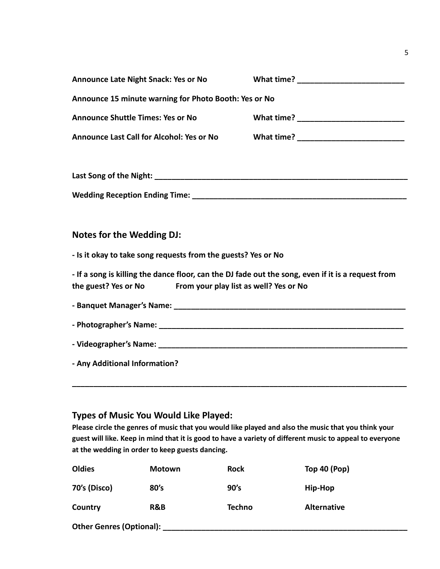| <b>Announce Late Night Snack: Yes or No</b>                                                                                                                       |  |  |
|-------------------------------------------------------------------------------------------------------------------------------------------------------------------|--|--|
| Announce 15 minute warning for Photo Booth: Yes or No                                                                                                             |  |  |
| <b>Announce Shuttle Times: Yes or No</b>                                                                                                                          |  |  |
| <b>Announce Last Call for Alcohol: Yes or No</b>                                                                                                                  |  |  |
|                                                                                                                                                                   |  |  |
|                                                                                                                                                                   |  |  |
|                                                                                                                                                                   |  |  |
|                                                                                                                                                                   |  |  |
| <b>Notes for the Wedding DJ:</b>                                                                                                                                  |  |  |
| - Is it okay to take song requests from the guests? Yes or No                                                                                                     |  |  |
| - If a song is killing the dance floor, can the DJ fade out the song, even if it is a request from<br>the guest? Yes or No From your play list as well? Yes or No |  |  |
|                                                                                                                                                                   |  |  |
|                                                                                                                                                                   |  |  |
|                                                                                                                                                                   |  |  |
| - Any Additional Information?                                                                                                                                     |  |  |
|                                                                                                                                                                   |  |  |

## **Types of Music You Would Like Played:**

**Please circle the genres of music that you would like played and also the music that you think your guest will like. Keep in mind that it is good to have a variety of different music to appeal to everyone at the wedding in order to keep guests dancing.**

| <b>Oldies</b>            | <b>Motown</b> | <b>Rock</b> | <b>Top 40 (Pop)</b> |
|--------------------------|---------------|-------------|---------------------|
| 70's (Disco)             | 80's          | 90's        | Hip-Hop             |
| Country                  | R&B           | Techno      | <b>Alternative</b>  |
| Other Genres (Optional): |               |             |                     |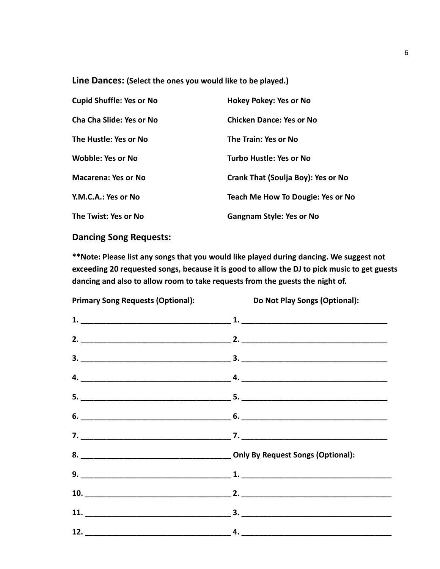**Line Dances: (Select the ones you would like to be played.)** 

| <b>Cupid Shuffle: Yes or No</b> | Hokey Pokey: Yes or No             |
|---------------------------------|------------------------------------|
| Cha Cha Slide: Yes or No        | <b>Chicken Dance: Yes or No</b>    |
| The Hustle: Yes or No           | The Train: Yes or No               |
| <b>Wobble: Yes or No</b>        | Turbo Hustle: Yes or No            |
| <b>Macarena: Yes or No</b>      | Crank That (Soulja Boy): Yes or No |
| Y.M.C.A.: Yes or No             | Teach Me How To Dougie: Yes or No  |
| The Twist: Yes or No            | <b>Gangnam Style: Yes or No</b>    |

**Dancing Song Requests:** 

**\*\*Note: Please list any songs that you would like played during dancing. We suggest not exceeding 20 requested songs, because it is good to allow the DJ to pick music to get guests dancing and also to allow room to take requests from the guests the night of.** 

**Primary Song Requests (Optional): Do Not Play Songs (Optional):**